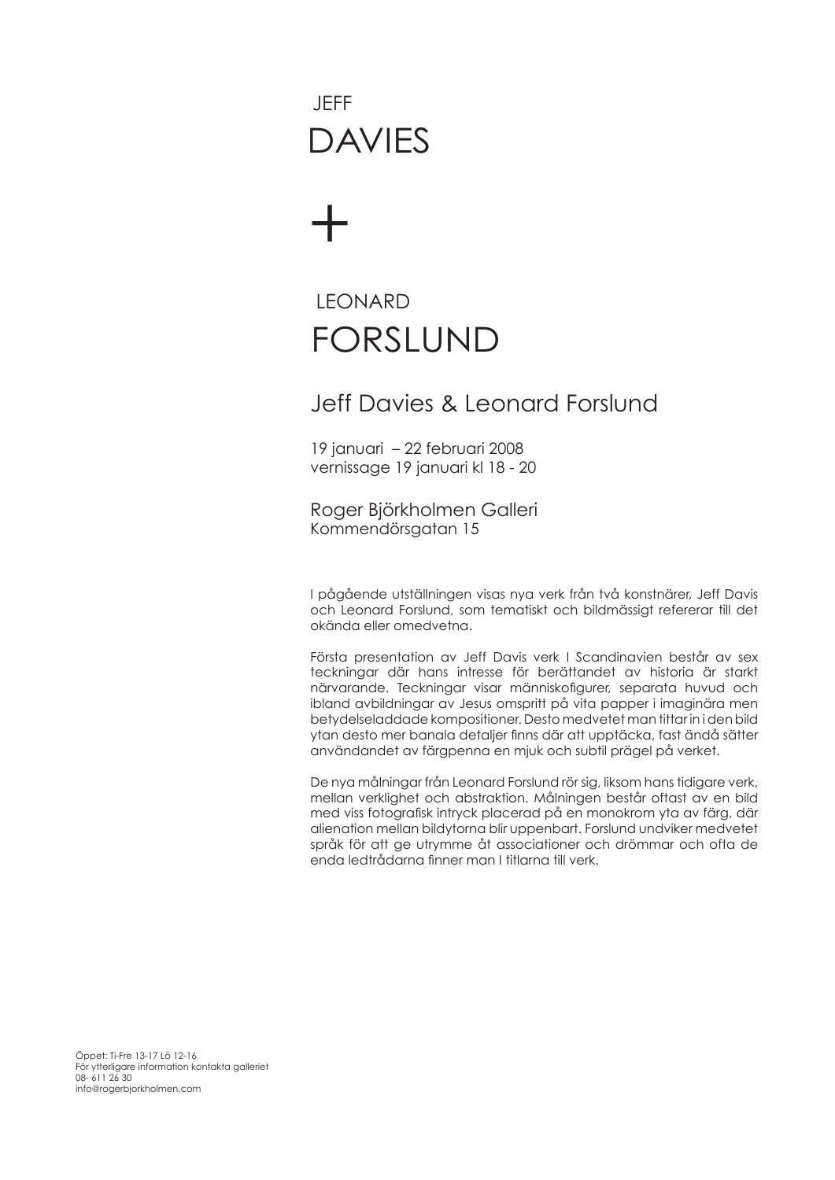## DAVIES JEFF

# +

### FORSLUND **LEONARD**

#### Jeff Davies & Leonard Forslund

19 januari – 22 februari 2008 vernissage 19 januari kl 18 - 20

Roger Björkholmen Galleri Kommendörsgatan 15

I pågående utställningen visas nya verk från två konstnärer, Jeff Davis och Leonard Forslund, som tematiskt och bildmässigt refererar till det okända eller omedvetna.

Första presentation av Jeff Davis verk I Scandinavien består av sex teckningar där hans intresse för berättandet av historia är starkt närvarande. Teckningar visar människofigurer, separata huvud och ibland avbildningar av Jesus omspritt på vita papper i imaginära men betydelseladdade kompositioner. Desto medvetet man tittar in i den bild ytan desto mer banala detaljer finns där att upptäcka, fast ändå sätter användandet av färgpenna en mjuk och subtil prägel på verket.

De nya målningar från Leonard Forslund rör sig, liksom hans tidigare verk, mellan verklighet och abstraktion. Målningen består oftast av en bild med viss fotografisk intryck placerad på en monokrom yta av färg, där alienation mellan bildytorna blir uppenbart. Forslund undviker medvetet språk för att ge utrymme åt associationer och drömmar och ofta de enda ledtrådarna finner man I titlarna till verk.

Öppet: Ti-Fre 13-17 Lö 12-16 För ytterligare information kontakta galleriet 08- 611 26 30 info@rogerbjorkholmen.com